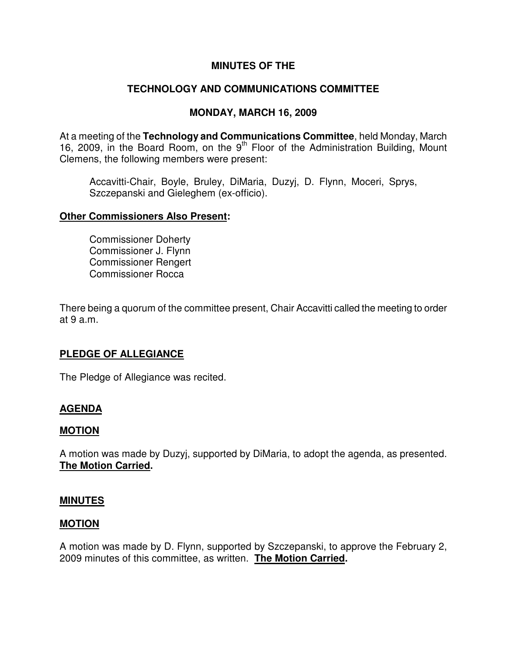## **MINUTES OF THE**

# **TECHNOLOGY AND COMMUNICATIONS COMMITTEE**

## **MONDAY, MARCH 16, 2009**

At a meeting of the **Technology and Communications Committee**, held Monday, March 16, 2009, in the Board Room, on the  $9<sup>th</sup>$  Floor of the Administration Building, Mount Clemens, the following members were present:

Accavitti-Chair, Boyle, Bruley, DiMaria, Duzyj, D. Flynn, Moceri, Sprys, Szczepanski and Gieleghem (ex-officio).

#### **Other Commissioners Also Present:**

Commissioner Doherty Commissioner J. Flynn Commissioner Rengert Commissioner Rocca

There being a quorum of the committee present, Chair Accavitti called the meeting to order at 9 a.m.

## **PLEDGE OF ALLEGIANCE**

The Pledge of Allegiance was recited.

## **AGENDA**

## **MOTION**

A motion was made by Duzyj, supported by DiMaria, to adopt the agenda, as presented. **The Motion Carried.** 

#### **MINUTES**

#### **MOTION**

A motion was made by D. Flynn, supported by Szczepanski, to approve the February 2, 2009 minutes of this committee, as written. **The Motion Carried.**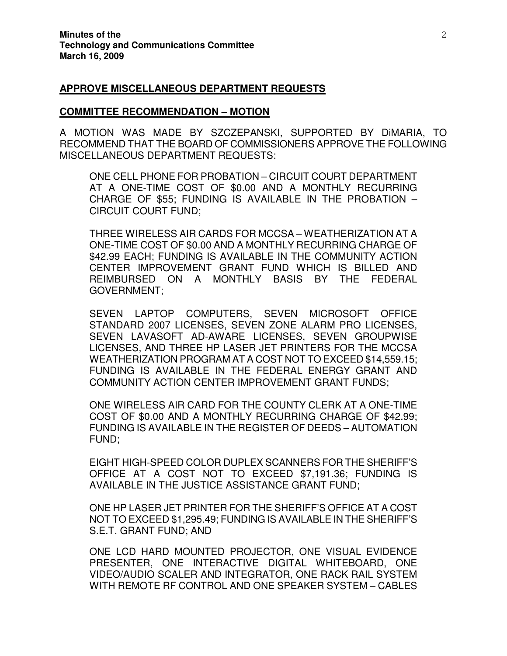#### **APPROVE MISCELLANEOUS DEPARTMENT REQUESTS**

#### **COMMITTEE RECOMMENDATION – MOTION**

A MOTION WAS MADE BY SZCZEPANSKI, SUPPORTED BY DiMARIA, TO RECOMMEND THAT THE BOARD OF COMMISSIONERS APPROVE THE FOLLOWING MISCELLANEOUS DEPARTMENT REQUESTS:

ONE CELL PHONE FOR PROBATION – CIRCUIT COURT DEPARTMENT AT A ONE-TIME COST OF \$0.00 AND A MONTHLY RECURRING CHARGE OF \$55; FUNDING IS AVAILABLE IN THE PROBATION – CIRCUIT COURT FUND;

THREE WIRELESS AIR CARDS FOR MCCSA – WEATHERIZATION AT A ONE-TIME COST OF \$0.00 AND A MONTHLY RECURRING CHARGE OF \$42.99 EACH; FUNDING IS AVAILABLE IN THE COMMUNITY ACTION CENTER IMPROVEMENT GRANT FUND WHICH IS BILLED AND REIMBURSED ON A MONTHLY BASIS BY THE FEDERAL GOVERNMENT;

SEVEN LAPTOP COMPUTERS, SEVEN MICROSOFT OFFICE STANDARD 2007 LICENSES, SEVEN ZONE ALARM PRO LICENSES, SEVEN LAVASOFT AD-AWARE LICENSES, SEVEN GROUPWISE LICENSES, AND THREE HP LASER JET PRINTERS FOR THE MCCSA WEATHERIZATION PROGRAM AT A COST NOT TO EXCEED \$14,559.15; FUNDING IS AVAILABLE IN THE FEDERAL ENERGY GRANT AND COMMUNITY ACTION CENTER IMPROVEMENT GRANT FUNDS;

ONE WIRELESS AIR CARD FOR THE COUNTY CLERK AT A ONE-TIME COST OF \$0.00 AND A MONTHLY RECURRING CHARGE OF \$42.99; FUNDING IS AVAILABLE IN THE REGISTER OF DEEDS – AUTOMATION FUND;

EIGHT HIGH-SPEED COLOR DUPLEX SCANNERS FOR THE SHERIFF'S OFFICE AT A COST NOT TO EXCEED \$7,191.36; FUNDING IS AVAILABLE IN THE JUSTICE ASSISTANCE GRANT FUND;

ONE HP LASER JET PRINTER FOR THE SHERIFF'S OFFICE AT A COST NOT TO EXCEED \$1,295.49; FUNDING IS AVAILABLE IN THE SHERIFF'S S.E.T. GRANT FUND; AND

ONE LCD HARD MOUNTED PROJECTOR, ONE VISUAL EVIDENCE PRESENTER, ONE INTERACTIVE DIGITAL WHITEBOARD, ONE VIDEO/AUDIO SCALER AND INTEGRATOR, ONE RACK RAIL SYSTEM WITH REMOTE RF CONTROL AND ONE SPEAKER SYSTEM – CABLES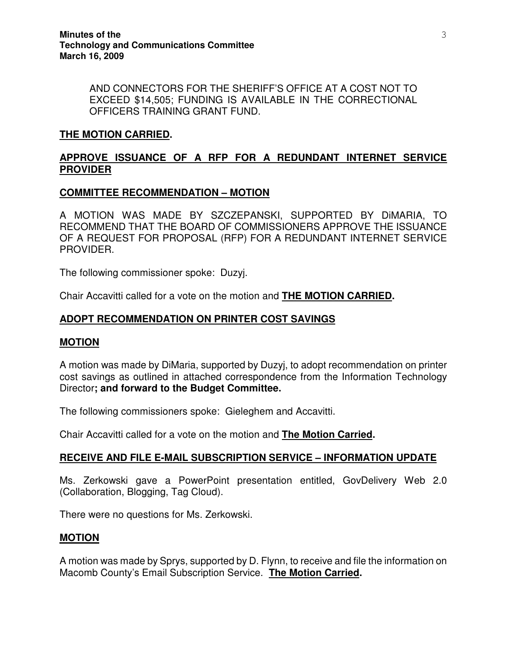AND CONNECTORS FOR THE SHERIFF'S OFFICE AT A COST NOT TO EXCEED \$14,505; FUNDING IS AVAILABLE IN THE CORRECTIONAL OFFICERS TRAINING GRANT FUND.

## **THE MOTION CARRIED.**

# **APPROVE ISSUANCE OF A RFP FOR A REDUNDANT INTERNET SERVICE PROVIDER**

## **COMMITTEE RECOMMENDATION – MOTION**

A MOTION WAS MADE BY SZCZEPANSKI, SUPPORTED BY DiMARIA, TO RECOMMEND THAT THE BOARD OF COMMISSIONERS APPROVE THE ISSUANCE OF A REQUEST FOR PROPOSAL (RFP) FOR A REDUNDANT INTERNET SERVICE PROVIDER.

The following commissioner spoke: Duzyj.

Chair Accavitti called for a vote on the motion and **THE MOTION CARRIED.** 

# **ADOPT RECOMMENDATION ON PRINTER COST SAVINGS**

## **MOTION**

A motion was made by DiMaria, supported by Duzyj, to adopt recommendation on printer cost savings as outlined in attached correspondence from the Information Technology Director**; and forward to the Budget Committee.** 

The following commissioners spoke: Gieleghem and Accavitti.

Chair Accavitti called for a vote on the motion and **The Motion Carried.** 

## **RECEIVE AND FILE E-MAIL SUBSCRIPTION SERVICE – INFORMATION UPDATE**

Ms. Zerkowski gave a PowerPoint presentation entitled, GovDelivery Web 2.0 (Collaboration, Blogging, Tag Cloud).

There were no questions for Ms. Zerkowski.

## **MOTION**

A motion was made by Sprys, supported by D. Flynn, to receive and file the information on Macomb County's Email Subscription Service. **The Motion Carried.**